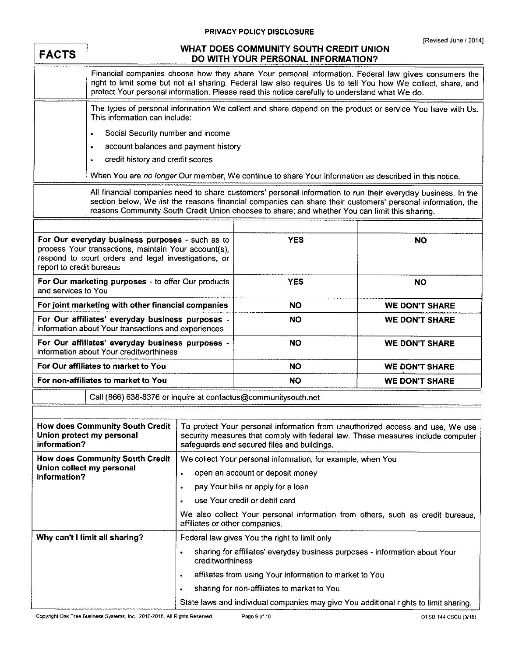## **PRIVACY POLICY DISCLOSURE**

| <b>FACTS</b>                                                                                                                                                                                | WHAT DOES COMMUNITY SOUTH CREDIT UNION<br>DO WITH YOUR PERSONAL INFORMATION?                                                                                                                                                                                                                                                  |                                                                                                                                                                                                                 |                                                                                                       |                       |  |
|---------------------------------------------------------------------------------------------------------------------------------------------------------------------------------------------|-------------------------------------------------------------------------------------------------------------------------------------------------------------------------------------------------------------------------------------------------------------------------------------------------------------------------------|-----------------------------------------------------------------------------------------------------------------------------------------------------------------------------------------------------------------|-------------------------------------------------------------------------------------------------------|-----------------------|--|
|                                                                                                                                                                                             | Financial companies choose how they share Your personal information. Federal law gives consumers the<br>right to limit some but not all sharing. Federal law also requires Us to tell You how We collect, share, and<br>protect Your personal information. Please read this notice carefully to understand what We do.        |                                                                                                                                                                                                                 |                                                                                                       |                       |  |
|                                                                                                                                                                                             | This information can include:                                                                                                                                                                                                                                                                                                 | The types of personal information We collect and share depend on the product or service You have with Us.                                                                                                       |                                                                                                       |                       |  |
|                                                                                                                                                                                             | Social Security number and income<br>٠                                                                                                                                                                                                                                                                                        |                                                                                                                                                                                                                 |                                                                                                       |                       |  |
|                                                                                                                                                                                             | account balances and payment history<br>$\bullet$                                                                                                                                                                                                                                                                             |                                                                                                                                                                                                                 |                                                                                                       |                       |  |
|                                                                                                                                                                                             | $\bullet$                                                                                                                                                                                                                                                                                                                     | credit history and credit scores                                                                                                                                                                                |                                                                                                       |                       |  |
|                                                                                                                                                                                             |                                                                                                                                                                                                                                                                                                                               |                                                                                                                                                                                                                 | When You are no longer Our member, We continue to share Your information as described in this notice. |                       |  |
|                                                                                                                                                                                             | All financial companies need to share customers' personal information to run their everyday business. In the<br>section below, We list the reasons financial companies can share their customers' personal information, the<br>reasons Community South Credit Union chooses to share; and whether You can limit this sharing. |                                                                                                                                                                                                                 |                                                                                                       |                       |  |
|                                                                                                                                                                                             |                                                                                                                                                                                                                                                                                                                               |                                                                                                                                                                                                                 |                                                                                                       |                       |  |
| For Our everyday business purposes - such as to<br>process Your transactions, maintain Your account(s),<br>respond to court orders and legal investigations, or<br>report to credit bureaus |                                                                                                                                                                                                                                                                                                                               |                                                                                                                                                                                                                 | <b>YES</b>                                                                                            | <b>NO</b>             |  |
| For Our marketing purposes - to offer Our products<br>and services to You                                                                                                                   |                                                                                                                                                                                                                                                                                                                               |                                                                                                                                                                                                                 | <b>YES</b>                                                                                            | <b>NO</b>             |  |
| For joint marketing with other financial companies                                                                                                                                          |                                                                                                                                                                                                                                                                                                                               |                                                                                                                                                                                                                 | <b>NO</b>                                                                                             | <b>WE DON'T SHARE</b> |  |
| For Our affiliates' everyday business purposes -<br>information about Your transactions and experiences                                                                                     |                                                                                                                                                                                                                                                                                                                               |                                                                                                                                                                                                                 | <b>NO</b>                                                                                             | <b>WE DON'T SHARE</b> |  |
| For Our affiliates' everyday business purposes -<br>information about Your creditworthiness                                                                                                 |                                                                                                                                                                                                                                                                                                                               |                                                                                                                                                                                                                 | <b>NO</b>                                                                                             | <b>WE DON'T SHARE</b> |  |
| For Our affiliates to market to You                                                                                                                                                         |                                                                                                                                                                                                                                                                                                                               |                                                                                                                                                                                                                 | <b>NO</b>                                                                                             | <b>WE DON'T SHARE</b> |  |
| For non-affiliates to market to You                                                                                                                                                         |                                                                                                                                                                                                                                                                                                                               |                                                                                                                                                                                                                 | <b>NO</b>                                                                                             | <b>WE DON'T SHARE</b> |  |
|                                                                                                                                                                                             |                                                                                                                                                                                                                                                                                                                               |                                                                                                                                                                                                                 | Call (866) 638-8376 or inquire at contactus@communitysouth.net                                        |                       |  |
|                                                                                                                                                                                             |                                                                                                                                                                                                                                                                                                                               |                                                                                                                                                                                                                 |                                                                                                       |                       |  |
| <b>How does Community South Credit</b><br>Union protect my personal<br>information?                                                                                                         |                                                                                                                                                                                                                                                                                                                               | To protect Your personal information from unauthorized access and use, We use<br>security measures that comply with federal law. These measures include computer<br>safeguards and secured files and buildings. |                                                                                                       |                       |  |
| <b>How does Community South Credit</b><br>Union collect my personal<br>information?                                                                                                         |                                                                                                                                                                                                                                                                                                                               | We collect Your personal information, for example, when You                                                                                                                                                     |                                                                                                       |                       |  |
|                                                                                                                                                                                             |                                                                                                                                                                                                                                                                                                                               | open an account or deposit money<br>$\bullet$                                                                                                                                                                   |                                                                                                       |                       |  |
|                                                                                                                                                                                             |                                                                                                                                                                                                                                                                                                                               | pay Your bills or apply for a loan<br>$\bullet$                                                                                                                                                                 |                                                                                                       |                       |  |
|                                                                                                                                                                                             |                                                                                                                                                                                                                                                                                                                               | use Your credit or debit card<br>$\bullet$                                                                                                                                                                      |                                                                                                       |                       |  |
|                                                                                                                                                                                             |                                                                                                                                                                                                                                                                                                                               | affiliates or other companies.                                                                                                                                                                                  | We also collect Your personal information from others, such as credit bureaus,                        |                       |  |
| Why can't I limit all sharing?                                                                                                                                                              |                                                                                                                                                                                                                                                                                                                               | Federal law gives You the right to limit only                                                                                                                                                                   |                                                                                                       |                       |  |
|                                                                                                                                                                                             |                                                                                                                                                                                                                                                                                                                               | sharing for affiliates' everyday business purposes - information about Your<br>$\bullet$<br>creditworthiness                                                                                                    |                                                                                                       |                       |  |
|                                                                                                                                                                                             |                                                                                                                                                                                                                                                                                                                               | ٠                                                                                                                                                                                                               | affiliates from using Your information to market to You                                               |                       |  |
|                                                                                                                                                                                             |                                                                                                                                                                                                                                                                                                                               | ٠                                                                                                                                                                                                               | sharing for non-affiliates to market to You                                                           |                       |  |
|                                                                                                                                                                                             |                                                                                                                                                                                                                                                                                                                               |                                                                                                                                                                                                                 | State laws and individual companies may give You additional rights to limit sharing.                  |                       |  |